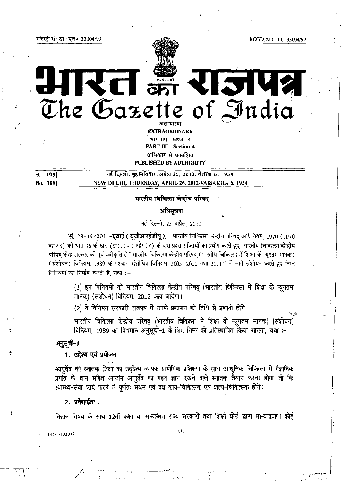~Boito 1l:\'!o-33004199 REGD, NO, D. L,-*33004199* 

•

/' I:

 $\int$ 

# राजपत्र **onl 3iflIElI{Uj of** ~ndio ene vazeue

**EXTRAORDINARY**  $\lim$   $II$ - $\frac{1}{3}$  4 PART III-Section 4 प्राधिकार से प्रकाशित PUBLISHED BY AUTHORITY

 $\frac{1}{2}$   $\frac{1}{8}$   $\frac{1}{108}$   $\frac{1}{108}$   $\frac{1}{108}$   $\frac{1}{108}$   $\frac{1}{108}$   $\frac{1}{108}$   $\frac{1}{108}$   $\frac{1}{108}$   $\frac{1}{108}$   $\frac{1}{108}$   $\frac{1}{108}$   $\frac{1}{108}$   $\frac{1}{108}$   $\frac{1}{108}$   $\frac{1}{108}$   $\frac{1}{108}$   $\frac{1}{108$ No. 1081 NEW DELHI, THURSDAY, APRIL 26, 20l2NAISAKHA 6, 1934

# 'Il'miI<r Fdl'4>R'l1 ~ ~ कित्सा कन्दीय परिष<br>अधिमूचना

नई दिल्ली, 25 अप्रैल, 2012

सं. 28-14/2011-एवाई ( यूजीआरईजीयू ) — भारतीय चिकित्सा केन्द्रीय परिषद् अधिनियम, 1970 (1970 का 48) को धारा 36 के खंड (झ), (ञ) और (ट) के द्वारा प्रदत्त शक्तियों का प्रयोग करते हुए, भारतीय चिकित्सा केन्द्रीय परिषद केन्द्र सरकार की पूर्व स्वीकृति से "भारतीय चिकित्सा केन्द्रीय परिषद् (भारतीय चिकित्सा में शिक्षा के न्यूनतम मानक) (संशोधन) विनियम, 1989 के पश्चात् संशोधित विनियम, 2005, 2010 तथा 2011" में आगे संशोधन करते हुए निम्न विनियमों का निर्माण करती है, यथा :-

> $(1)$  इन विनियमों को भारतीय चिकित्सा केन्द्रीय परिषद् (भारतीय चिकित्सा में शिक्षा के न्यूनतम मानक) (संशोधन) विनियम, 2012 कहा जायेगा।

 $(2)$  ये विनियम सरकारी राजपत्र में उनके प्रकाशन की तिथि से प्रभावी होंगे।

भारतीय चिकित्सा केन्द्रीय परिषद् (भारतीय चिकित्सा में शिक्षा के न्यूनतम मानक) (संशोधन) विनियम, 1989 की विद्यमान अनुसूची-1 के लिए निम्न को प्रतिस्थापित किया जाएगा, यथा :-

अनुसूची-1

1. उद्देश्य एवं प्रयोजन

आयुर्वेद की स्नातक शिक्षा का उदुदेश्य व्यापक प्रायोगिक प्रशिक्षण के साथ आधुनिक चिकित्सा में वैज्ञानिक प्रगति के ज्ञान सहित अष्टांग आयुर्वेद का गहन ज्ञान रखने वाले स्नातक तैयार करना होगा जो कि रवास्थ्य-सेवा कार्य करने में पूर्णतः सक्षम एवं दक्ष काय-चिकित्सक एवं शल्य-चिकित्सक होगें।

2. प्रवेशार्हता :-

विज्ञान विषय के साथ 12वीं कक्षा या सम्बन्धित राज्य सरकारों तथा शिक्षा बोर्ड द्वारा मान्यताप्राप्त कोई

\474 *Gl/2012*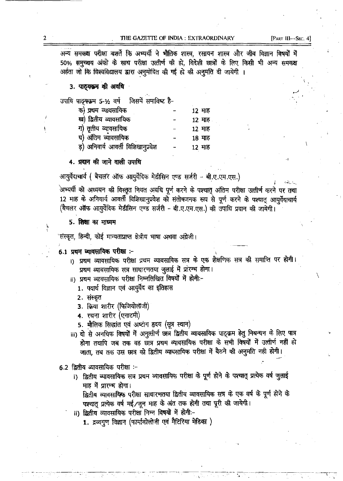# THE GAZETTE OF INDIA: EXTRAORDINARY

अन्य समकक्ष परीक्षा बशर्ते कि अभ्यर्थी ने मौतिक शास्त्र, रसायन शास्त्र और जीव विज्ञान विषयों में 50% समुख्यय अंको के साथ परीक्षा उत्तीर्ण की हो, विदेशी छात्रों के लिए किसी भी अन्य समकक्ष अहंता जो कि विश्वविद्यालय द्वारा अनुमोदित की गई हो की अनुमति दी जायेगी ।

3. पाठ्यक्रम की अवधि

| उपाधि पाठूसक्रम 5-12 वर्ष जिसमें समाविष्ट है- |        |
|-----------------------------------------------|--------|
| क) प्रथम व्यावसायिक                           | 12 माह |
| ख) द्वितीय व्यावसायिक                         | 12 माह |
| ग) तृतीय व्यावसायिक                           | 12 माह |
| घ) अंतिम व्यावसायिक                           | 18 माह |
| ड़) अनिवार्य आवर्ती विशिखानुप्रवेश            | 12 माह |

4. प्रदान की जाने वाली उपाधि

आयुर्वेदाचार्य ( बैचलर ऑफ आयुर्वेदिक मेडीसिन एण्ड सर्जरी - बी.ए.एम.एस.)

अभ्यर्थी को अध्ययन की विस्तृत नियत अवधि पूर्ण करने के पश्चातु अंतिम परीक्षा उत्तीर्ण करने पर तथा 12 माह के अनिवार्य आवर्ती विशिखानुप्रवेश को संतोषजनक रूप से पूर्ण करने के पश्चात आयुर्वेदाचार्य (बैचलर ऑफ आयुर्वेदिक मेडीसिन एण्ड सर्जरी - बी.ए.एम.एस.) की उपाधि प्रदान की जायेगी।

# 5. शिक्षा का माध्यम

'संस्कृत, हिन्दी, कोई मान्यताप्राप्त क्षेत्रीय भाषा अथवा अंग्रेजी।

# 6.1 प्रथम व्यावसायिक परीक्षा :-

- i) प्रथम व्यावसायिक परीक्षा प्रथम व्यावसायिक सत्र के एक शैक्षणिक सत्र की समाप्ति पर होगी। प्रथम व्यावसायिक सत्र साधारणतया जुलाई में प्रारम्भ होगा।
- ii) प्रथम व्यावसायिक परीक्षा निम्नलिखित विषयों में होगी:-
	- 1. पदार्थ विज्ञान एवं आयुर्वेद का इतिहास
	- 2. संस्कृत
	- 3. क्रिया शारीर (फिजियोलॉजी)
	- 4. रचना शारीर (एनाटमी)
	- 5. मौलिक सिद्धांत एवं अष्टांग हृदय (सूत्र स्थान)
- iii) दो से अनधिक विषयों में अनुत्तीर्ण छात्र द्वितीय व्यावसायिक पाठ्क्रम हेतु निबन्धन के लिए पात्र होगा तथापि जब तक वह छात्र प्रथम व्यावसायिक परीक्षा के सभी विषयों में उत्तीर्ण नहीं हो जाता, तब तक उस छात्र को द्वितीय व्यावसायिक परीक्षा में बैठने की अनुमति नही होगी।

# 6.2 द्वितीय व्यावसायिक परीक्षा :-

i) द्वितीय व्यावसायिक सत्र प्रथम व्यावसायिक परीक्षा के पूर्ण होने के पश्चात् प्रत्येक वर्ष जुलाई माह में प्रारम्भ होगा।

द्वितीय व्यावसायिक परीक्षा साधारणतया द्वितीय व्यावसायिक सत्र के एक वर्ष के पूर्ण होने के पश्चात् प्रत्येक वर्ष मई /जून माह के अंत तक होगी तथा पूरी की जायेगी।

ii) द्वितीय व्यावसायिक परीक्षा निम्न विषयों में होगी:-

1. द्रव्यगुण विज्ञान (फार्माकोलोजी एवं मैटिरिया मेडिका)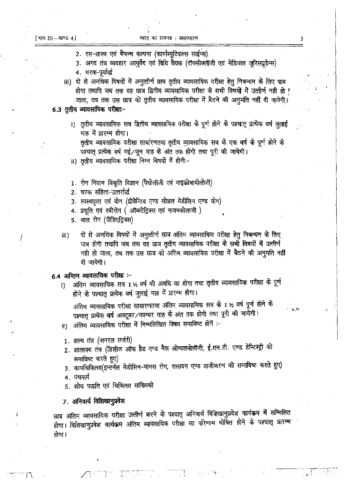- 2. रस-शास्त्र एवं भैषज्य कल्पना (फार्मास्युटिकल्स साईन्स).
- 3. अगद तंत्र व्यवहार आयुर्वेद एवं विधि वैद्यक (टॉक्सीक्लॉजी एवं मेडिकल जुरिसप्रुडेन्स)
- 4. चरक-पूर्वार्द्ध
- iii) दो से अनधिक विषयों में अनुत्तीर्ण छात्र तृतीय व्यावसायिक परीक्षा हेतु निबन्धन के लिए पात्र होगा तथापि जब तक वह छात्र द्वितीय व्यावसायिक परीक्षा के सभी विषयों में उत्त्वीर्ण नही हो ! जाता, तब तक उस छात्र को तृतीय व्यावसायिक परीक्षा में बैठने की अनुमति नहीं दी जायेगी।
- 6.3 ततीय व्यावसायिक परीक्षाः
	- i) तृतीय व्यावसायिक सत्र द्वितीय व्यावसायिक परीक्षा के पूर्ण होने के पश्चात् प्रत्येक वर्ष जुलाई माह में प्रारम्भ होगा। तृतीय व्यावसायिक परीक्षा साधारणतया तृतीय व्यावसायिक सत्र के एक वर्ष के पूर्ण होने के पश्चात प्रत्येक वर्ष मई / जून माह के अंत तक होगी तथा पूरी की जायेगी।
	- ii) तृतीय व्यावसायिक परीक्षा निम्न विषयों में होगी:-
	- 1. रोग निदान विकृति विज्ञान (पैथोलॉजी एवं माइक्रोबायोलोजी)
	- 2. घरक संहिता-उत्तर्रार्द्ध
	- 3. स्वस्थवृत्त एवं योग (प्रीवेन्टिव एण्ड सोशल मेडीसिन एण्ड योग)
	- 4. प्रसूति एवं स्त्रीरोग ( ऑब्स्टेट्रिक्स एवं गायनकोलाजी )
	- 5. बाल रोग (पीडिएट्रिक्स)
	- दो से अनधिक विषयों में अनुत्तीर्ण छात्र अंतिम व्यावसायिक परीक्षा हेतू निबन्धन के लिए  $iii)$ पात्र होगी तथापि जब तक वह छात्र तृतीय व्यावसायिक परीक्षा के सभी विषयों में उत्तीर्ण नही हो जाता, तब तक उस छात्र को अंतिम व्यावसायिक परीक्षा में बैठने की अनुमति नहीं दी जायेगी।

# 6.4 अन्तिम व्यावसायिक परीक्षा :-

अंतिम व्यावसायिक सत्र 1½ वर्ष की अवधि का होगा तथा तृतीय व्यावसायिक परीक्षा के पूर्ण i) होने के पश्चात् प्रत्येक वर्ष जुलाई माह में प्रारम्भ होगा।

अंतिम व्यावसायिक परीक्षा साधारणतया अंतिम व्यावसायिक सत्र के 1 ½ वर्ष पूर्ण होने के पश्चात् प्रत्येक वर्ष अक्टूबर/नवम्बर माह के अंत तक होगी तथा पूरी की जायेगी। ॥) अंतिम व्यावसायिक परीक्षा में निम्नलिखित विषय समाविष्ट होगें :-

- 1. शल्य तंत्र (जनरल सर्जरी)
- 2. शालाक्य तंत्र (डिसीज ऑफ हैड एण्ड नैक ओप्थलमोलॉजी, ई.एन.टी. एण्ड डेन्टिस्ट्री को समाविष्ट करते हुए)
- 3. कायचिकित्सा(इन्टर्नल मेडीसिन-मानस रोग, रासायन एण्ड वाजीकरण को समाविष्ट करते हुए) 4. पंचकर्म
- 5. शोध पद्धति एवं चिकित्सा सांख्यिकी

# 7. अनिवार्य विशिखानुप्रवेश

छात्र अंतिम व्यावसायिक परीक्षा उत्तीर्ण करने के पश्चात् अनिवार्य विशिखानुप्रवेश कार्यक्रम में सम्मिलित होगा। विशिखानुप्रवेश कार्यक्रम अंतिम व्यावसायिक परीक्षा का परिणाम घोषित होने के पश्चात् प्रारम्भ होगा ।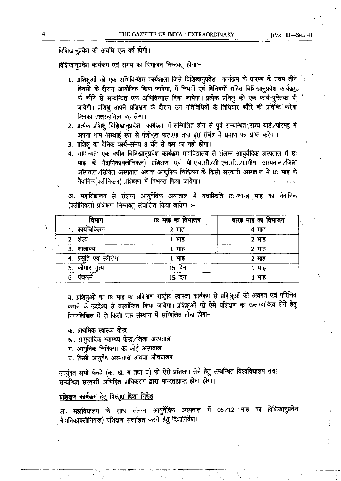# विशिखानप्रवेश की अवधि एक वर्ष होगी।

विशिखानप्रवेश कार्यक्रम एवं समय का विभाजन निम्नवत होगाः-

- 1. प्रशिक्षुओं को एक अभिविन्यास कार्यशाला जिसे विशिखानुप्रवेश कार्यक्रम के प्रारम्भ के प्रथम तीन दिवसों के दौरान आयोजित किया जायेगा, में नियमों एवं विनियमों सहित विशिखानप्रवेश कार्यक्रम के ब्यौरे से सम्बन्धित एक अभिविन्यास दिया जायेगा। प्रत्येक प्रशिक्षू को एक कार्य-पुस्तिका दी जायेगी। प्रशिक्षु अपने प्रशिक्षण के दौरान उन गतिविधियों के तिथिवार ब्यौरे की प्रविष्टि करेगा जिनका उत्तरदायित्व वह लेगा।
- 2. प्रत्येक प्रशिक्षु विशिखानुप्रवेश कार्यक्रम में सम्मिलित होने से पूर्व सम्बन्धित राज्य बोर्ड/परिषद् में अपना नाम अस्थाई रूप से पंजीकृत कराएगा तथा इस संबंध में प्रमाण-पत्र प्राप्त करेगा।
- 3. प्रशिक्ष का दैनिक कार्य-समय 8 घंटे से कम का नही होगा।
- 4. सामान्यतः एक वर्षीय विशिखानुप्रवेश कार्यक्रम महाविद्यालय से संलग्न आयुर्वेदिक अस्पताल में छ: माह के नैदानिक(क्लीनिकल) प्रशिक्षण एवं पी.एच.सी/सी.एच.सी./ग्रामीण अस्पताल/जिला अस्पताल/सिविल अस्पताल अथवा आधुनिक चिकित्सा के किसी सरकारी अस्पताल में छः माह के नैदानिक(क्लीनिकल) प्रशिक्षण में विभक्त किया जायेगा।

अ. महाविद्यालय से संलग्न आयुर्वेदिक अस्पताल में यथास्थिति छः /बारह माह का नैदानिक (क्लीनिकल) प्रशिक्षण निम्नवत् संचालित किया जायेगा :-

| विभाग                      | छः माह का विभाजन | बारह माह का विभाजन |
|----------------------------|------------------|--------------------|
| कार्याचेकित्सा             | 2 माह            | 4 माह              |
| 2. शल्य                    | 1 माह            | 2 माह              |
| 3. शालाक्य                 | 1 माह            | 2 माह              |
| एवं स्त्रीरोग<br>4. प्रसात | . माह            | 2 माह              |
| कौमार भृत्य<br>5.          | 15 दिन           | 1 माह              |
| 6.<br>पचकम                 | .15              | माह                |

ब. प्रशिक्षुओं का छः माह का प्रशिक्षण राष्ट्रीय स्वास्थ्य कार्यक्रम से प्रशिक्षुओं को अवगत एवं परिचित कराने के उद्देश्य से कार्यान्वित किया जायेगा। प्रशिक्षुओं को ऐसे प्रशिक्षण का उत्तरदायित्व लेने हेतु निम्नलिखित में से किसी एक संस्थान में सम्मिलित होना होगा-

क. प्राथमिक स्वास्थ्य केन्द्र

- ख. सामुदायिक स्वास्थ्य केन्द्र /जिला अस्पताल
- ग. आधुनिक चिकित्सा का कोई अस्पताल
- घ. किसी आयुर्वेद अस्पताल अथवा औषधालय

उपर्युक्त सभी केन्द्रो (क, ख, ग तथा घ) को ऐसे प्रशिक्षण लेने हेतु सम्बन्धित विश्वविद्यालय तथा सम्बन्धित सरकारी अभिहित प्राधिकरण द्वारा मान्यताप्राप्त होना होगा।

# प्रशिक्षण कार्यक्रम हेतु विस्तृत दिशा निर्देश

अ. महाविद्यालय के साथ संलग्न आयुर्वेदिक अस्पताल में 06/12 माह का विशिखानुप्रवेश नैदानिक(क्लीनिकल) प्रशिक्षण संचालित करने हेतु दिशानिर्देश।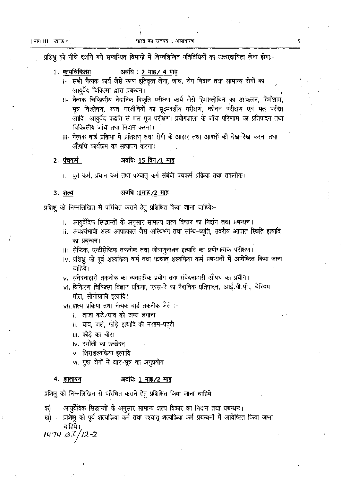प्रशिक्ष को नीचे दर्शाये गये सम्बन्धित विभागों में निम्नलिखित गतिविधियों का उत्तरदायित्व लेना होगाः-

- अवधि : 2 माह / 4 माह 1. कार्याचेकित्सा
	- i- सभी नैत्यक कार्य जैसे रूग्ण इतिवृत्त लेना, जांच, रोग निदान तथा सामान्य रोगों का आयर्वेद चिकित्सा द्वारा प्रबन्धन।
	- ii- नैत्यक चिकित्सीय नैदानिक विकृति परीक्षण कार्य जैसे हिमाग्लोबिन का आंकलन. हिमोग्राम. मूत्र विश्लेषण, रक्त परजीवियों का सुक्ष्मदर्शीय परीक्षण, ष्ठीवन परीक्षण एवं मल परीक्षा आदि। आयुर्वेद पद्धति से मल मूत्र परीक्षण। प्रयोगशाला के जाँच परिणाम का प्रतिपादन तथा चिकित्सीय जांच तथा निदान करना।
	- iii- नैत्यक वार्ड प्रक्रिया में प्रशिक्षण तथा रोगी के आहार तथा आदतों की देख-**रेख** करना तथा औषधि कार्यक्रम का सत्यापन करना।

#### अवधिः 15 दिन/1 माह <u>2 पंचकर्म</u>

।. पूर्व कर्म, प्रधान कर्म तथा पश्चात् कर्म संबंधी पंचकर्म प्रक्रिया तथा तकनीक।

#### अवधि :1माह /2 माह 3. शल्य

प्रशिक्षु को निम्नलिखित से परिचित कराने हेतु प्रशिक्षित किया जाना चाहिये:-

- i. आयुर्वेदिक सिद्धान्तों के अनुसार सामान्य शल्य विकार का निर्दान तथा प्रबन्धन।
- ii. अवश्यंभावी शल्य आपात्काल जैसे अस्थिभंग तथा सन्धि-च्यूति, उदरीय आपात स्थिति इत्यादि का प्रबन्धन।
- iii. सेप्टिक, एन्टीसेप्टिक तकनीक तथा जीवाणुनाशन इत्यादि का प्रयोगात्मक परीक्षण।
- iv. प्रशिक्षु को पूर्व शल्यक्रिया कर्म तथा पश्चात् शल्यक्रिया कर्म प्रबन्धनों में आवेष्टित किया जाना चाहिये।
- v. संवेदनाहारी तकनीक का व्यवहारिक प्रयोग तथा संवेदनाहारी औषध का प्रयोग।
- vi. विकिरण चिकित्सा विज्ञान प्रक्रिया, एक्स-रे का नैदानिक प्रतिपादन, आई.वी.पी., बेरियम मील, सोनोग्राफी इत्यादि।

vii.शल्य प्रक्रिया तथा नैत्यक वार्ड तकनीक जैसे :-

।. ताजा कटे ∕घाव को टांका लगाना

- ii. घाव, जले, फोड़े इत्यादि की मरहम-पट्टी
- iii. फोडे का चीरा
- iv. रसौली का उच्छेदन
- v. शिराशल्यक्रिया इत्यादि
- vi. गुदा रोगों में क्षार-सूत्र का अनुप्रयोग

#### अवधि: 1 माह/2 माह 4. शालाक्य

प्रशिक्षु को निम्नलिखित से परिचित कराने हेतु प्रशिक्षित किया जाना चाहिये-

आयुर्वेदिक सिद्धान्तों के अनुसार सामान्य शल्य विकार का निदान तथा प्रबन्धन। क)

प्रशिक्षु को पूर्व शत्यकिया कर्म तथा पश्चात् शल्यक्रिया कर्म प्रबन्धनों में आवेष्टित किया जाना ख) चाहिये।

 $1474 G I/I2-2$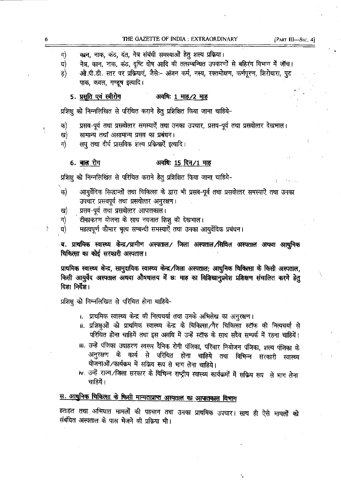[PART III-SEC. 4]

- कान, नाक, कंठ, दंत, नेत्र संबंधी समस्याओं हेतु शल्य प्रक्रिया। ग)
- नेत्र, कान, नाक, कंठ, दृष्टि दोष आदि की तत्सम्बन्धित उपकरणों से बहिरंग विभाग में जॉच। घ)
- ओ.पी.डी. स्तर पर प्रक्रियाएं, जैसे:- अंजन कर्म, नस्य, रक्तमोक्षण, कर्णपूरण, शिरोधारा, पुट ड) पाक, कवल, गण्डूष इत्यादि।

#### 5. प्रसुति एवं स्त्रीरोग अवधि: 1 माह / 2 माह

प्रशिक्षु को निम्नलिखित से परिचित कराने हेतु प्रशिक्षित किया जाना चाहिये-

- प्रसव-पूर्व तथा प्रसवोत्तर समस्याऐँ तथा उनका उपचार, प्रसव-पूर्व तथा प्रसवोत्तर देखभाल। क)
- सामान्य तथा असामान्य प्रसव का प्रबंधन। ख)
- ग) लघु तथा दीर्घ प्रासविक शल्य प्रक्रियाऐं इत्यादि।

#### <u>6. बाल रोग</u> अवधिः 15 दिन/1 माह

प्रशिक्षु को निम्नलिखित से परिचित कराने हेतु प्रशिक्षित किया जाना चाहिये-

- क) आयुर्वेदिक सिद्धान्तों तथा चिकित्सा के द्वारा भी प्रसव-पूर्व तथा प्रसवोत्तर समस्याऐं तथा उनका उपचार प्रसवपूर्व तथा प्रसवोत्तर अनुरक्षण।
- प्रसव-पूर्व तथा प्रसवोत्तर आपातकाल। ख)
- टीकाकरण योजना के साथ नवजात शिशु की देखभाल। ग)
- महत्वपूर्ण कौमार भृत्य सम्बन्धी समस्याऐँ तथा उनका आयर्वेदिक प्रबंधन। घ)

ब. प्राथमिक स्वास्थ्य केन्द्र/ग्रामीण अस्पताल/ जिला अस्पताल/सिविल अस्पताल अथवा आधुनिक चिकित्सा का कोई सरकारी अस्पताल।

प्राथमिक स्वास्थ्य केन्द्र, सामुदायिक स्वास्थ्य केन्द्र /जिला अस्पताल; आधुनिक चिकित्सा के किसी अस्पताल, किसी आयुर्वेद अस्पताल अथवा औषधालय में छः माह का विशिखानुप्रवेश प्रशिक्षण संचालित करने हेतु दिशा निर्देश।

प्रशिक्षु को निम्नलिखित से परिचित होना चाहिये-

- i. प्राथमिक स्वास्थ्य केन्द्र की नित्यचर्या तथा उनके अभिलेख का अनूरक्षण।
- ii. प्रशिक्षुओं को प्राथमिक स्वास्थ्य केन्द्र के चिकित्सा गैर चिकित्सा स्टॉफ की नित्यचर्या से परिचित होंना चाहियें तथा इस अवधि में उन्हें स्टॉफ के साथ सदैव सम्पर्क में रहना चाहियें।
- ।॥. उन्हें पंजिका उदाहरण स्वरूप दैनिक रोगी पंजिका, परिवार नियोजन पंजिका, शल्य पंजिका के अनुरक्षण के कार्य से परिचित होना चाहिये तथा विभिन्न सरकारी स्वास्थ्य योजनाओं /कार्यक्रम में सक्रिय रूप से भाग लेना चाहिये।
- iv. उन्हें राज्य /जिला सरकार के विभिन्न राष्ट्रीय स्वास्थ्य कार्यक्रमों में सक्रिय रूप से भाग लेना चाहियें।

# स. आधुनिक चिकित्सा के किसी मान्यताप्राप्त अस्पताल का आपातकाल विभाग

हताहत तथा अभिघात मामलों की पहचान तथा उनका प्राथमिक उपचार। साथ ही ऐसे मामलों को संबंधित अस्पताल के पास भेजने की प्रक्रिया भी।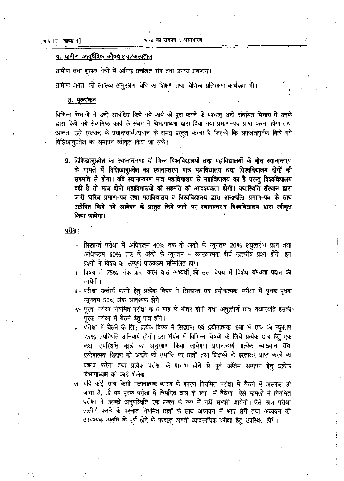# द. ग्रामीण आयुर्वेदिक औषधालय ⁄अस्पताल

ग्रामीण तथा दूरस्थ क्षेत्रों में अधिक प्रचलित रोग तथा उनका प्रबन्धन।

ग्रामीण जनता को स्वास्थ्य अनुरक्षण विधि का शिक्षण तथा विभिन्न प्रतिरक्षण कार्यक्रम भी।

# <u>8. मूल्यांकन</u>

विभिन्न विभागों में उन्हें आबंटित किये गये कार्य को पूरा करने के पश्चात् उन्हें संबंधित विभाग में उनके द्वारा किये गये सेवानिष्ठ कार्य के संबंध में विभागाध्यक्ष द्वारा दिया गया प्रमाण-पत्र प्राप्त करना होगा तथा अन्ततः उसे संस्थान के प्रधानाचार्य/प्रधान के समक्ष प्रस्तुत करना है जिससे कि सफलतापूर्वक किये गये विशिखानुप्रवेश का समापन स्वीकृत किया जा सके।

9. विशिखानुप्रवेश का स्थानान्तरणः दो भिन्न विश्वविद्यालयों तथा महाविद्यालयों के बीच स्थानान्तरण के मामले में विशिखानुप्रवेश का स्थानान्तरण मात्र महाविद्यालय तथा विश्वविद्यालय दोनों की सहमति से होगा। यदि स्थानान्तरण मात्र महाविद्यालय से महाविद्यालय का है परन्तु विश्वविद्यालय वही है तो मात्र दोनो महाविद्यालयों की सहमति की आवश्यकता होगी। यथास्थिति संस्थान द्वारा जारी चरित्र प्रमाण-पत्र तथा महाविद्यालय व विश्वविद्यालय द्वारा अनापत्ति प्रमाण-पत्र के साथ अग्रेषित किये गये आवेदन के प्रस्तुत किये जाने पर स्थानान्तरण विश्वविद्यालय द्वारा स्वीकृत किया जायेगा।

# <u>परीक्षाः</u>

- <sub>1</sub>. सिद्धान्तं परीक्षा में अधिकतम 40% तक के अंको के न्यूनतम 20% लघुत्तरीय प्रश्न तथा अधिकतम 60% तक के अंको के न्यूनतम 4 व्याख्यात्मक दीर्घ उत्तरीय प्रश्न होंगे। इन प्रश्नों में विषय का सम्पूर्ण पाठ्यक्रम सम्मिलित होगा।
- ii- विषय में 75% अंक प्राप्त करने वाले अभ्यर्थी को उस विषय में विशेष योग्यता प्रदान की जायेगी।
- iii- परीक्षा उत्तीर्ण करने हेतु प्रत्येक विषय में सिद्धान्त एवं प्रयोगात्मक परीक्षा में पृथक-पृथक न्यूनतम 50% अंक आवश्यक होंगे।
- iv- पूरक परीक्षा नियमित परीक्षा के 6 माह के भीतर होगी तथा अनुत्तीर्ण छात्र यथास्थिति इसकी पूरक परीक्षा में बैठने हेतु पात्र होंगे।
- v- परीक्षा में बैठने के लिए प्रत्येक विषय में सिद्धान्त एवं प्रयोगात्मक कक्षा में छात्र की न्यूनतम 75% उपस्थिति अनिवार्य होगी। इस संबंध में विभिन्न विषयों के लिये प्रत्येक छात्र हेतु एक कक्षा उपस्थिति कार्ड का अनुरक्षण किया जायेगा। प्रधानाचार्य प्रत्येक व्याख्यान तथा प्रयोगात्मक शिक्षण की अवधि की समाप्ति पर छात्रों तथा शिक्षकों के हस्ताक्षर प्राप्त करने का प्रबन्ध करेगा तथा प्रत्येक परीक्षा के प्रारम्भ होने से पूर्व अंतिम समापन हेतु प्रत्येक विभागाध्यक्ष को कार्ड भेजेगा।
- vi- यदि कोई छात्र किसी संज्ञानात्मक-कारण के कारण नियमित परीक्षा में बैठने में असफल हो जाता है, तो वह पूरक परीक्षा में नियमित छात्र के रूप में बैठेगा। ऐसे मामलों में नियमित परीक्षा में उसकी अनुपस्थिति एक प्रयत्न के रूप में नहीं समझी जायेगी। ऐसे छात्र परीक्षा उत्तीर्ण करने के पश्चात् नियमित छात्रों के साथ अध्ययन में भाग लेगें तथा अध्ययन की आवश्यक अवधि के पूर्ण होने के पश्चात् अगली व्यावसायिक परीक्षा हेतु उपस्थित होगें।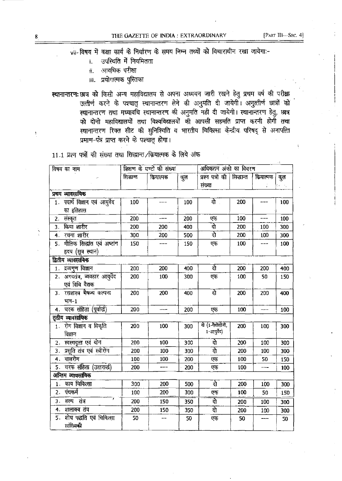$\frac{1}{2}$ 

vil-विषय में कक्षा कार्य के निर्धारण के समय निम्न तथ्यों को विचाराधीन रखा जायेगा:-

- उपस्थिति में नियमितता  $\mathbf{i}$ .
- आवधिक परीक्षा  $\ddot{\mathbf{u}}$ .
- **iii.** प्रयोगात्मक पुस्तिका
- स्थानान्तरण: छात्र को किसी अन्य महाविद्यालय से अपना अध्ययन जारी रखने हेतु प्रथम वर्ष की परीक्षा उत्तीर्ण करने के पश्चात् स्थानान्तरण लेने की अनुमति दी जायेगी। अनुत्तीर्ण छात्रों को स्थानान्तरण तथा मध्यावधि स्थानान्तरण की अनुमति नही दी जायेगी। स्थानान्तरण हेतु, छात्र को दोनो महाविद्यालयों तथा विश्वविद्यालयों की आपसी सहमति प्राप्त करनी होगी तथा स्थानान्तरण रिक्त सीट की सुनिश्चिति व भारतीय चिकित्सा केन्द्रीय परिषद् से अनापत्ति प्रमाण-पत्रे प्राप्त करने के पश्चात् होगा।

11.1 प्रश्न पत्रों की संख्या तथा सिद्धान्त /क्रियात्मक के लिये अंक

|    | विषय का नाम                    |           | शिक्षण के घण्टों की संख्या |     | अधिकतम अंको का विवरण       |     |          |     |
|----|--------------------------------|-----------|----------------------------|-----|----------------------------|-----|----------|-----|
|    |                                | सिद्धान्त | कियात्मक                   | कूल | प्रश्न पत्रों की सिद्धान्त |     | कियात्मक | कूल |
|    |                                |           |                            |     | संख्या                     |     |          |     |
|    | प्रथम व्यावसायिक               |           |                            |     |                            |     |          |     |
|    | 1. पदार्थ विज्ञान एवं आयुर्वेद | 100       |                            | 100 | रो                         | 200 | ----     | 100 |
|    | का इतिहास                      |           |                            |     |                            |     |          |     |
|    | 2. संस्कृत                     | 200       | ---                        | 200 | एक                         | 100 | ---      | 100 |
| 3. | किया शारीर                     | 200       | 200                        | 400 | रो                         | 200 | 100      | 300 |
|    | 4. रचना शारीर                  | 300       | 200                        | 500 | रो                         | 200 | 100      | 300 |
|    | 5. मौलिक सिद्धांत एवं अष्टांग  | 150       |                            | 150 | एक                         | 100 | ---      | 100 |
|    | हृदय (सूत्र स्थान)             |           |                            |     |                            |     |          |     |
|    | द्वितीय व्यावसायिक             |           |                            |     |                            |     |          |     |
|    | 1. द्रव्यगुण विज्ञान           | 200       | 200                        | 400 | रो                         | 200 | 200      | 400 |
|    | 2. अगदतंत्र, व्यवहार आयुर्वेद  | 200       | 100                        | 300 | एक                         | 100 | 50       | 150 |
|    | एवं विधि वैद्यक                |           |                            |     |                            |     |          |     |
|    | 3. रसशास्त्र भैषज्य कल्पना     | 200       | 200                        | 400 | रो                         | 200 | 200      | 400 |
|    | $H_{1} - 1$                    |           |                            |     |                            |     |          |     |
|    | 4. चरक संहिता (पूर्वार्छ)      | 200       |                            | 200 | एक                         | 100 | ---      | 100 |
|    | तृतीय व्यावसायिक               |           |                            |     |                            |     |          |     |
|    | 1. रोग विज्ञान व विकृति        | 200       | 100                        | 300 | दो (1-पैयोलोजी,            | 200 | 100      | 300 |
|    | विज्ञान                        |           |                            |     | 1-आयुर्वेद)                |     |          |     |
|    | 2. स्वस्थवृत्त एवं योग         | 200       | 100                        | 300 | रो                         | 200 | 100      | 300 |
|    | 3. प्रसूति तंत्र एवं स्त्रीरोग | 200       | 100                        | 300 | रो                         | 200 | 100      | 300 |
| 4. | बालरोग                         | 100       | 100                        | 200 | एक                         | 100 | 50       | 150 |
| 5. | चरक संहिता (उत्तरार्द्ध)       | 200       |                            | 200 | एक                         | 100 | ---      | 100 |
|    | अन्तिम व्यावसायिक              |           |                            |     |                            |     |          |     |
|    | 1. काय चिकित्सा                | 300       | 200                        | 500 | रो                         | 200 | 100      | 300 |
| 2. | पंचकर्म                        | 100       | 200                        | 300 | एक                         | 100 | 50       | 150 |
| 3. | शल्य तंत्र                     | 200       | 150                        | 350 | रो                         | 200 | 100      | 300 |
| 4. | शालाक्य तंत्र                  | 200       | 150                        | 350 | दो                         | 200 | 100      | 300 |
| 5. | शोध पद्धति एवं चिकित्सा        | 50        |                            | 50  | एक                         | 50  |          | 50  |
|    | सांख्यिकी                      |           |                            |     |                            |     |          |     |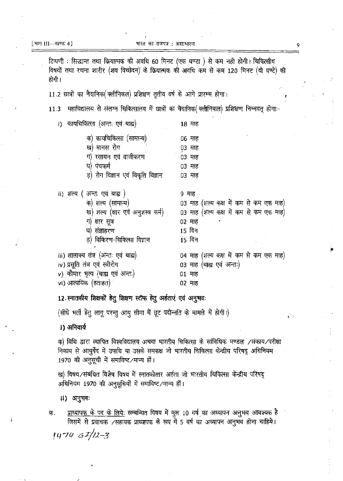टिप्पणी : सिद्धान्त तथा क्रियात्मक की अवधि 60 मिनट (एक घण्टा ) से कम नही होगी। चिकित्सीय विषयों तथा रचना शारीर (शव विच्छेदन) के क्रियात्मक की अवधि कम से कम 120 मिनट (दो घण्टे) की होगी ।

11.2 छात्रों का नैदानिक (क्लीनिकल) प्रशिक्षण तृतीय वर्ष के आगे प्रारम्भ होगा।

11.3 महाविद्यालय से संलग्न चिकित्सालय में छात्रों का नैदानिक (क्लीनिकल) प्रशिक्षण निम्नवत् होगा:-

| i) कायाचाकत्सा (अन्तः एव बाह्य)      | 18 माह                                 |
|--------------------------------------|----------------------------------------|
| क) कायचिकित्सा (सामान्य)             | 06 माह                                 |
| ख) मानस रोग                          | ०३ माह                                 |
| ग) रसायन एवं वाजीकरण                 | 03 माह                                 |
| प) पंचकर्म                           | ०३ माह                                 |
| ड़) रोग विज्ञान एवं विकृति विज्ञान   | ०३ माह                                 |
|                                      |                                        |
| ii) शल्य ( अन्तः एवं बाह्य )         | 9 माह                                  |
| क) शल्य (सामान्य)                    | 03 माह (शल्य कक्ष में कम से कम एक माह) |
| ख) शल्य (क्षार एवं अनुशस्त्र कर्म)   | 03 माह (शल्य कक्ष में कम से कम एक माह) |
| ग) क्षार सूत्र                       | 02 माह                                 |
| घ) संज्ञाहरण                         | 15 दिन                                 |
| ड़) विकिरण-चिकित्सा विज्ञान          | 15 दिन                                 |
|                                      |                                        |
| iii) शालाक्य तंत्र (अन्तः एवं बाह्य) | 04 माह (शल्य कक्ष में कम से कम एक माह) |
| iv) प्रसूति तंत्र एवं स्त्रीरोग      | 03 माह (बाह्य एवं अन्तः)               |
| v) कौमार भृत्य (बाह्य एवं अन्तः)     | 01 माह                                 |
| vi) आत्ययिक (हताहत)                  | 02 माह                                 |
|                                      |                                        |

12. स्नातकीय शिक्षकों हेतु शिक्षण स्टॉफ हेतु अर्हताएं एवं अनुभवः

(सीधे भर्ती हेतु लागू परन्तु आयु सीमा में छूट पदोन्नति के मामले में होगी।)

i) अनिवार्य

क) विधि द्वारा स्थापित विश्वविद्यालय अथवा भारतीय चिकित्सा के सांविधिक मण्डल /संकाय/परीक्षा निकाय से आयुर्वेद में उपाधि या उसके समकक्ष जो भारतीय चिकित्सा केन्द्रीय परिषद् अधिनियम 1970 की अनुसूची में समाविष्ट /मान्य हों।

ख) विषय ⁄संबंधित विशेष विषय में स्नातकोत्तर अर्हता जो भारतीय चिकित्सा केन्द्रीय परिषद् अधिनियम 1970 की अनुसूचियों में समाविष्ट /मान्य हों।

ii) अनुभवः

<u>प्राध्यापक के पद के लिये</u>: सम्बन्धित विषय में कुल 10 वर्ष का अध्यापन अनुभव आवश्यक है क. जिसमें से प्रवाचक ⁄सहायक प्राध्यापक के रूप में 5 वर्ष का अध्यापन अनुभव होना चाहिये।  $1474 G^{T}/12-3$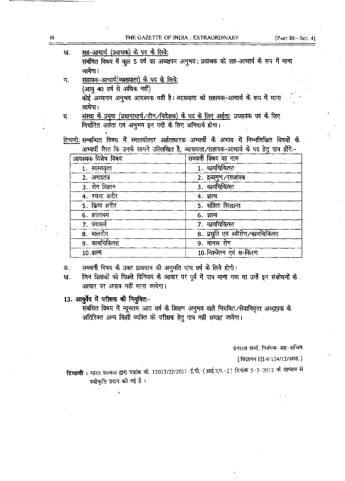| $\boldsymbol{0}$ |    | THE GAZETTE OF INDIA : EXTRAORDINARY                                                                                            |                                      | [PART III-SEC. 4] |
|------------------|----|---------------------------------------------------------------------------------------------------------------------------------|--------------------------------------|-------------------|
|                  | ख. | <u>सह-आचार्य (प्रवाचक) के पद के लिये:</u><br>संबंधित विषय में कुल 5 वर्ष का अध्यापन अनुभव। प्रवाचक को सह-आचार्य के रूप में माना |                                      |                   |
|                  |    | जायेगा ।                                                                                                                        |                                      |                   |
|                  | ग. | <u>सहायक-आचार्य(व्याख्याता) के पद के लिये:</u><br>(आयु 40 वर्ष से अधिक नहीं)                                                    |                                      |                   |
|                  |    | कोई अध्यापन अनुभव आवश्यक नहीं है। व्याख्याता को सहायक-आचार्य के रूप में माना                                                    |                                      |                   |
|                  |    | जायेगा।                                                                                                                         |                                      |                   |
|                  | घ. | <u>संस्था के प्रमुख (प्रधानाचार्य/डीन/निदेशक) के पद के लिए अर्हताः</u> प्रध्यापक पद के लिए                                      |                                      |                   |
|                  |    | निर्धारित अर्हता एवं अनुभव इन पदों के लिए अनिवार्य होगा।                                                                        |                                      |                   |
|                  |    |                                                                                                                                 |                                      |                   |
|                  |    | टिप्पणी सम्बन्धित विषय में स्नातकोत्तर अर्हताधारक अभ्यर्थी के अभाव में निम्नलिखित विषयों के                                     |                                      |                   |
|                  |    | अभ्यर्थी जैसा कि उनके सामने उल्लिखित है, व्याख्याता/सहायक-आचार्य के पद हेतु पात्र होंगे:-                                       |                                      |                   |
|                  |    | आवश्यक विशेष विषय                                                                                                               | समवर्गी विषय का नाम                  |                   |
|                  |    | 1. स्वस्थवृत्त                                                                                                                  | 1. कायचिकित्सा                       |                   |
|                  |    | 2. अगदतंत्र                                                                                                                     | 2. द्रव्यगुण ⁄ रसशास्त्र             |                   |
|                  |    | $3.$ रोग विज्ञान                                                                                                                | 3. कायचिकित्सा                       |                   |
|                  |    | 4. रचना शरीर                                                                                                                    | 4. शल्य                              |                   |
|                  |    | 5. किया शरीर                                                                                                                    | 5. संहिता सिद्धान्त                  |                   |
|                  |    | 6. शालाक्य                                                                                                                      | 6. शल्य                              |                   |
|                  |    | 7. पंचकर्म                                                                                                                      | 7. कायचिकित्सा                       |                   |
|                  |    | 8. बालरोग                                                                                                                       | 8. प्रसुति एवं स्त्रीरोग/कायचिकित्सा |                   |
|                  |    | 9. कायचिकित्सा                                                                                                                  | 9. मानस रोग                          |                   |
|                  |    | 10.शल्य                                                                                                                         | 10. निश्चेतन एवं क्ष-किरण            |                   |
|                  |    |                                                                                                                                 |                                      |                   |

समवर्गी विषय के उक्त प्रावधान की अनुमति पांच वर्ष के लिये होगी। क.

जिन शिक्षकों को पिछले विनियम के आधार पर पूर्व में पात्र माना गया था उन्हें इन संशोधनों के ख. आधार पर अपात्र नहीं माना जायेगा।

# 13. आयुर्वेद में परीक्षक की नियुक्ति :-

 $\frac{1}{2}$ 

संबंधित विषय में न्यूनतम आठ वर्ष के शिक्षण अनुभव वाले नियमित⁄सेवानिवृत्त अध्यापक के अतिरिक्त अन्य किसी व्यक्ति को परीक्षक हेतु पात्र नहीं समझा जायेगा।

प्रेमराज शर्मा, निबंधक-सह-सचिव

[ विज्ञापन III/4/124/12/असा. ]

**टिप्पणी :** भारत सरकार द्वारा पत्रांक वी. 12013/22/2011-ई.पी. (आई.एम.-2) दिनांक 5-3-2012 के माध्यम से स्वीकृति प्रदान की गई है।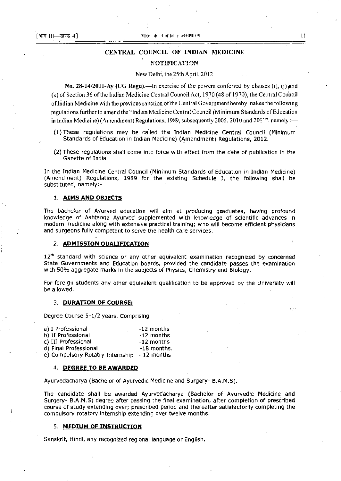# CENTRAL COUNCIL OF INDIAN MEDICINE **NOTIFICATION**

# New Delhi, the 25th April, 2012

No. 28-14/2011-Ay (UG Regu).—In exercise of the powers conferred by clauses (i), (j) and (k) of Section 36 of the Indian Medicine Central Council Act, 1970 (48 of 1970), the Central Council oflndian Medicine with the previous sanction of the Central Government hereby makes the following regulations further to amend the "Indian Medicine Central Council (M inimum Standards of Education in Indian Medicine) (Amendment) Regulations, 1989, subsequently 2005, 2010 and 2011", namely :-

- $(1)$  These regulations may be called the Indian Medicine Central Council (Minimum Standards of Education in Indian Medicine) (Amendment) Regulations, 2012.
- (2) These regulations shall come into force with effect from the date of publication in the Gazette of India.

In the Indian Medicine Central Council (Minimum Standards of Education in Indian Medicine) (Amendment) Regulations, 1989 for the existing Schedule I, the following shall be substituted, namely:-

# 1. **AIMS AND OBJECTS**

The bachelor of Ayurved education will aim at producing graduates, having profound knowledge of Ashtanga Ayurved supplemented with knowledge of scientific advances in modern medicine along with extensive practical training; who will become efficient physicians and surgeons fully competent to serve the health care services.

# 2. **ADMISSION QUALIFICATION**

12<sup>th</sup> standard with science or any other equivalent examination recognized by concerned State Governments and Education boards, provided the candidate passes the examination with 50% aggregate marks in the subjects of Physics, Chemistry and Biology.

For foreign students any other equivalent qualification to be approved by the University will be allowed.

### 3. **DURATION OF COURSE;**

Degree Course 5-1/2 years. Comprising

| a) I Professional<br><b>State Street</b> | -12 months   |
|------------------------------------------|--------------|
| b) II Professional                       | $-12$ months |
| c) III Professional                      | $-12$ months |
| d) Final Professional                    | -18 months.  |
| e) Compulsory Rotatry Internship         | - 12 months  |

# 4. **DEGREE TO BE AWARPEP**

Ayurvedacharya (Bachelor of Ayurvedic Medicine and Surgery- B.A.M.S).

The candidate shall be awarded Ayurvedacharya (Bachelor of Ayurvedic Medicine and Surgery- B.A.M.S) degree after passing the final examination, after completion of prescribed course of study extending over; prescribed period and thereafter satisfactorily completing the compulsory rotatory internship extending over twelve months.

### 5. **MEDIUM OF INSTRUCTION**

Sanskrit, Hindi, any recognized regional language or English.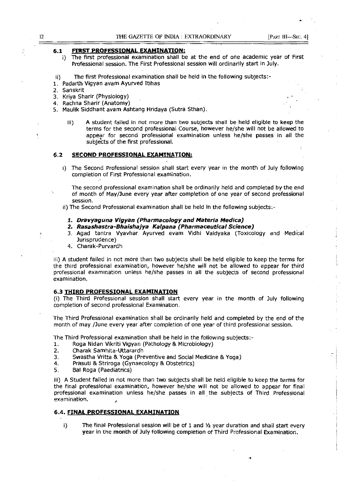# **6.1 FIRST PROFESSIONAL EXAMINATION;**

- i) The first professional examination shall be at the end of one academic year of First Professional session. The First Professional session will ordinarily start in July.
- ii) The first Professional examination shall be held in the following subjects:-
- 1. Padarth Vigyan avam Ayurved ltihas
- 2. Sanskrit
- 3. Kriya Sharir (Physiology)
- 4. Rachna Sharir (Anatomy)
- 5. Maulik Siddhant avam Ashtang Hridaya (Sutra. Sthan).
	- Iii) A student failed in not more than two subjects shall be held eligible to keep the terms for the second professional Course, however he/she will not be allowed to appear for second professional examination unless hejshe passes in ail the subjects of the first professional.

# 6.2 **SECOND PROFESSIONAL EXAMINATION;**

i) The Second Professional session shall start every year in the month of July following **completion of First Professional examination.** 

The second professional examination shall be ordinarily held and completed by the end of month of May/June every year after completion of one year of second professional session.

- ii) The Second Professional examination shall be held in the following subjects;-
	- **1. Dravyaguna Vigyan** (Pharmacology and **Materia Medica}**
	- **2. Rasashastra-Bhaishajya Kalpana (Pharmaceutical Science)**
	- 3. Agad tantra Vyavhar Ayurved evam Vidhi Vaidyaka (Toxicology and Medical Jurisprudence)
	- 4. Charak-Purvardh

iii) A student failed in not more than two subjects shall be held eligible to keep the terms for the third professional examination, however he/she will not be allowed to appear for third professional examination unless he/she passes in all the subjects of second professional examination.

### **6.3 THIRD PROFESSIONAL EXAMINATION**

(i) The Third Professional session shall start every year in the month of July following completion of second professional Examination.

The Third Professional examination shall be ordinarily held and completed by the end of the month of may /June every year after completion of one year of third professional session.

The Third Professional examination shall be held in the following subjects;-

- 1. Roga Nidan Vikriti Vigyan (Pathology & Microbiology)
- 2. Charak Samhita-Uttarardh
- 3. Swastha Vritta & Yoga (Preventive and Social MediCine & Yoga)
- 4. Prasuti & Striroga (Gynaecology & Obstetrics)
- 5. Bal Roga (Paediatrics)

iii) A Student failed in not more than two subjects shall be held Eligible to keep the terms for the final professional examination, however he/she will not be allowed to appear for final professional examination unless he/she passes in all. the subjects of Third Professional examination.

## **6.4. FINAL PROFESSIONAL EXAMINATION**

i) The final Professional session will be of 1 and  $\frac{1}{2}$  year duration and shall start every year in the month of July following completion of Third Professional Examination.

•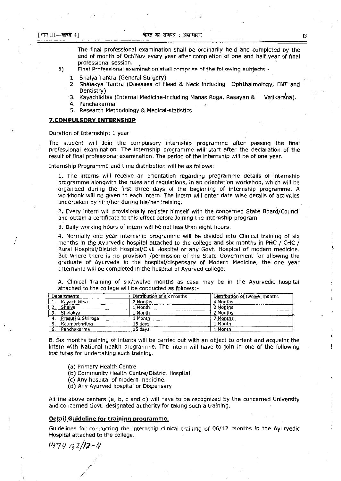The final professional examination shall be ordinarily held and completed by the end of month of Oct/Nov every year after completion of one and half year of final professional session.

- **Ii) Final Professional examination shall comprise of the fo!!ow!ng subjects:-**
	- 1. Shalya Tantra (General Surgery)
	- 2. Shalakya Tantra (Diseases of Head & Neck including Ophthalmology, **ENT** and Dentistry)
	- 3. Kayachikitsa (Internal Medicine-including Manas Roga, Rasayan & Vajikardna).
	- 4. Panchakarma
	- 5. Research Methodology & Medical-statistics

# **?COMPULSORY INTERNSHIP**

Duration of Internship: 1 year

The student will Join the compulsory internship programme after passing the final professional examination. The internship programme will start after the declaration of the result of final professional examination. The period of the internship will be of one year.

Internship Programme and time distribution will be as follows:-

1. The interns will receive an orientation regarding programme details of internship programme alongwith the rules and regulations, in an orientation workshop, which will be organized during the first three days of the beginning of internship programme. A workbook will be given to each intern. The intern will enter date wise details of activities undertaken by him/her during his/her training.

2. Every intern will provisionally register himself with the concerned State Board/Council and obtain a certificate to this effect before Joining the internship program.

3. Daily working hours of intern will be not less than eight hours.

4. Normally one year internship programme will be divided into Clinical training of six months in the Ayurvedic hospital attached to the college and six months in PHC / CHC / Rural Hospital/District Hospital/Civil Hospital or any Govt. Hospital of modern medicine. But where there is no provision /permission of the State Government for allowing the graduate of Ayurveda in the hospital/dispensary of Modern Medicine, the one year Internship will be completed in the hospital of Ayurved college.

| <b>Departments</b> | Distribution of six months | Distribution of twelve months |
|--------------------|----------------------------|-------------------------------|
| Kayachikitsa       | 2 Months                   | 4 Months                      |
| Shalva             | 1 Month                    | 2 Months                      |
| Shalakva           | 1 Month                    | 2 Months                      |
| Prasuti & Striroga | 1 Month                    | 2 Months                      |
| Kaumarbhritva      | 15 days                    | 1 Month                       |
| Panchakarma        | 15 days                    | 1 Month                       |

A. Clinical Training of six/twelve months as case may be in the Ayurvedic hospital attached to the college will be conducted as follows:-

B. Six months training of interns will be carried out with an object to orient and acquaint the intern with National health programme. The intern will have to join in one of the following institutes for undertaking such training.

- (a) Primary Health Centre
- (b) Community Health Centre/District Hospital
- (c) Any hospital of modern medicine.
- (d) Any Ayurved hospital or Dispensary

Aii the above centers (a, b, c and d) will have to be recognized by the concerned University and concerned Govt. designated authority for taking such a training.

# **Detail Guideline for training programme.**

Guideiines for conducting the internship ciinicai training of 06/12 months in the Ayurvedic Hospital attached to the college.

14111 *{P/12-t;*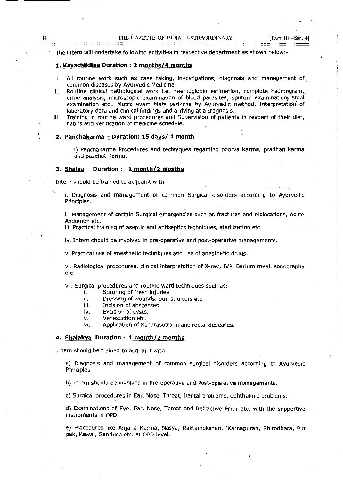The intern will undertake following activities in respective department as shown below:-

# 1. Kayachikitsa Duration: 2 months/4 months

- i. All routine work such as case taking, investigations, diagnosis and management of common diseases by Ayurvedic Medicine.
- ii. Routine clinical pathological work i.e. Haemoglobin estimation, complete haemogram', urine analysis, microscopic examination of blood parasites, sputum examination, stool examination etc.. Mutra evam Mala pariksha by Ayurvedic method. Interpretation of laboratory data and clinical findings and arriving at a diagnosis. .
- iii. Training in routine ward procedures and Supervision of patients in respect of their diet, habits and verification of medicine schedule.

### 2. Panchakarma - Duration: 15 days/ 1 month

i) Panchakarma Procedures and techniques regarding poorva karma, pradhan karma and paschat Karma.

### 3. Shalya Duration: 1 month/2 months

Intern should be 'trained to acquaint with

i. Diagnosis and management of common Surgical disorders according to Ayurvedic Principles.

ii. Management of certain Surgical emergencies such as fractures and dislocations, Acute Abdomen etc.

iii. Practical training of aseptic and antiseptics techniques, sterilization etc.

iv. Intern should be involved in pre-operative and post-operative managements.

v. Practical use of anesthetic techniques and use of anesthetic drugs.

vi. Radiological procedures, clinical interpretation of X-ray, IVP, Barium meal, sonography etc.

vii. Surgical procedures and routine ward techniques such as:-

- i. Suturing of fresh injuries
- ii. Dressing of wounds, burns, ulcers etc.
- iii. Incision of abscesses.
- iv. Excision of cysts.
- v. Venesection etc.
- vi. Application of Ksharasutra in ano rectal deseases.

# 4. Shalakya Duration: 1 month/2 months

Intern should be trained to acquaint with

a) Diagnosis and management of common surgical disorders according to Ayurvedic Principles.

b) Intern should be involved in Pre-operative and Post-operative managements.

c) Surgical procedures in Ear, Nose, Throat, Dental problems, ophthalmic problems.

d) Examinations of Eye, Ear, Nose, Throat and Refractive Error etc. with the supportive instruments in OPD.

e) Procedures like Anjana Karma, Nasya, Raktamokshan, 'Karnapuran, Shirodhara, Put pak, Kawai, Gandush etc. at OPD level.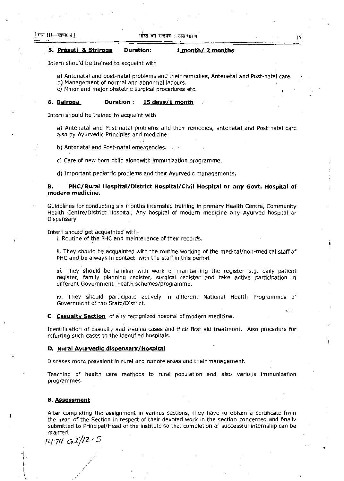# **5. Prasuti & Striroga Duration: 1 month/ 2 months**

Intern should be trained to acquaint with

a) Antenatal and post-natal problems and their remedies, Antenatal and Post-natal care.

b) Management of normal and abnormal labours.

c) Minor and major obstetric surgical procedures etc.

# **6. Balroga Duration: 15 davsji month**

Intern should be trained to acquaint with

a) Antenatal and Post-natal problems and their remedies, antenatal and Post-natal care also by Ayurvedic Principles and medicine.

b) Antenatal and Post-natal emergencies.

c) Care of new born child alongwith immunization programme.

d) Important pediatric problems and their Ayurvedic managements.

# **B. PHC/Rural Hospital/District Hospital/Civil Hospital or any Govt. Hospital of modern medicine.**

Guidelines for conducting six months internship training in primary Health Centre, Community Health Centre/District Hospital; Any hospital of modern medicine any Ayurved hospital or **Dispensary** 

Intern should get acquainted with-

i. Routine of the PHC and maintenance of their records.

ii. They should be acquainted with the routine working of the medical/non-medical staff of PHC and be always in contact with the staff in this period.

iii. They should be familiar with work of maintaining the register e.g. daily patient register, family planning register, surgical register and take active participation in different Government health schemes/programme.

iv. They should participate actively in different National Health Programmes of Government of the State/District.

**C. Casualty Section** of any recognized hospital of modern medicine.

**Identification of casualty and traurna cases and their first aid treatment. Aiso procedure for**  referring such cases to the identified hospitals.

### **D. Rural Ayurvedic dispensary/Hospital**

Diseases more prevalent in rural and remote areas and their management.

Teaching of health care methods to rural population and also various immunization programmes.

### 8. **Assessment**

After completing the assignment in various sections, they have to obtain a certificate from the head of the Section in respect of their devoted work in the section concerned and finally submitted to Principal/Head of the institute so that completion of successful internship can be **granted.** 

i47{! *GIltz-*<sup>5</sup>

/ /

"1 ! I I \ \

15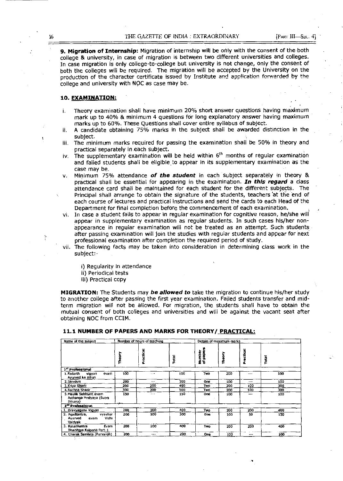**9. Migration of Internship:** Migration of internship will be only with the consent of the both college & university, in case of migration is between two different universities and colleges. In case migration is only college-to-college but university is not change, only the consent of both the colleges will be required. The migration will be accepted by the University on the **prcduct!on of the character cert!flcate !ssued by Institute and app!!cation forwarded by the**  college and university with NOC as case may be.

# **10. EXAMINATION:**

- i. Theory examination shall have minimum 20% short answer questions having maximum mark up to 40% & minimum 4 questions for long explanatory answer having maximum marks up to 60%. These Questions shall cover entire syllabus of subject.
- ii. A candidate obtaining 75% marks in the subject shall be awarded distinction in the subject.
- iii. The minimum marks required for passing the examination shall be 50% in theory and practical separately in .each subject. .
- iv. The supplementary examination **will** be held within 6th months of regular examination and failed students shall be eligible to appear in its supplementary examination as the case may be.
- v. Minimum 75% attendance **of the student** in each subject separately in theory & practical shali be essential for appearing in the examination. **In this regard** a class attendance card shall be maintained for each student for the different subjects. The Principal shall arrange to obtain the signature of the students, teachers at the end of each course of lectures and practical instructions and send the cards to each Head of the Department for final completion before the commencement of each examination. •
- vi. In case a student fails to appear in regular examination for cognitive reason, he/she will appear in supplementary examination as regular students. In such cases his/her nonappearance in regular examination will not be treated as an attempt. Such students· after passing examination will join the studies with regular students and appear for next professional examination after completion the required period of study.
- vii. The following facts may be taken into consideration in determining class work in the subject:
	- i) Regularity in attendance
	- ii) Periodical tests
	- iii) Practical copy

.

**MIGRATION:** The Students may **be allowed to** take the migration to continue his/her study to another college after passing the first year examination. Failed students transfer and midterm migration will not be allowed. For migration, the students shall have to obtain the mutual consent of both colleges and universities and will be against the vacant seat after obtaining NOC from CCIM.

| Name of the subject                                              | Number of hours of teaching |         |       |                           | Details of maximum marks |             |       |
|------------------------------------------------------------------|-----------------------------|---------|-------|---------------------------|--------------------------|-------------|-------|
|                                                                  | <b>Theory</b>               | t<br>Ce | Tetal | papers<br>nber<br>E<br>ŽΞ | Theory                   | Ī<br>ū<br>Σ | Total |
| 1" Professional                                                  |                             |         |       |                           |                          |             |       |
| 1. Padarth<br>vlgyan<br>evam<br>Ayurved ka Itihas                | 100                         | - - -   | 100   | Two                       | 200                      | $- - -$     | 100   |
| 2. Senskrit                                                      | 200                         | $\sim$  | 200   | <b>One</b>                | 100                      | $\cdots$    | 100   |
| 3. Kriva Sharir                                                  | 200                         | 200     | 400   | Two                       | 200                      | 100         | 300   |
| 4. Rachna Shanr                                                  | 300                         | 200     | 500   | Two                       | 200                      | 100         | 300   |
| 5. Maulik Siddhant evam<br>Asthanga Hridyaya (Sutra<br>Sthana)   | 150                         | ---     | 150   | 0ne                       | 100                      | ---         | 100   |
| 2 <sup>nd</sup> Professional                                     |                             |         |       |                           |                          |             |       |
| 1. Oravyaguna Vigyan                                             | 200                         | 200     | 400   | Two                       | 200                      | 200         | 400   |
| 2. Agadtantra,<br>vyavhar<br>Vidhi<br>Ayurved<br>evam<br>Valdyak | 200                         | 100     | 300   | One                       | 100                      | 50          | 150   |
| 3. Rasashastra<br>Evam<br>Bhaishiya Kalpana Part-1               | 200                         | 200     | 400   | Two                       | 200                      | 200         | 400   |
| 4. Charak Samhita (Purvardh)                                     | 200                         |         | 200   | One:                      | 100                      | $-1$        | 100   |

# 11.1 NUMBER OF PAPERS AND MARKS FOR THEORY/ PRACTICAL: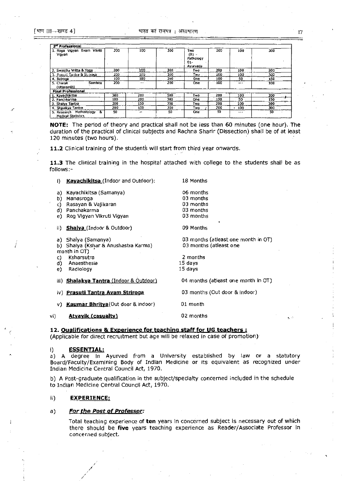['WT m~"@1CS 4] 17

.,'

| 3 <sup>rd</sup> Professional                                |      |               |     |                                                |     |          |     |
|-------------------------------------------------------------|------|---------------|-----|------------------------------------------------|-----|----------|-----|
| 1. Roga Vigyan Evam Vikriti<br>Vigyan                       | 200  | 100           | 300 | Two<br>$(01 -$<br>Pathology<br>01-<br>Ayurveda | 200 | 100      | 300 |
| 2. Swastha Vritta & Yoga                                    | 200  | 100           | 300 | Two                                            | 200 | 100      | 300 |
| 3. Prasui, Tantra & Strinoga                                | 2û0  | 100           | 300 | Twu                                            | 200 | 100      | 300 |
| 4. Balroga                                                  | 100  | 100           | 200 | One                                            | 100 | 50       | 150 |
| Samhita<br>5. Charak<br>(Uttarardh)                         | 200  | $\sim$ $\sim$ | 200 | <b>One</b>                                     | 100 | $m = 4$  | 100 |
| <b>Final Professional</b>                                   |      |               |     |                                                |     |          |     |
| 1. Kayachiki sa                                             | 300  | 200           | 500 | Two                                            | 200 | 100      | 300 |
| 2. Panchkarma                                               | 100. | 200           | 300 | One                                            | 100 | 50       | 150 |
| i 3. Shaiya Tantra                                          | 200  | 150           | 350 | Two                                            | 200 | 100      | 300 |
| 4. Shaiakya Tantra                                          | 200  | 150           | 350 | Two                                            | 200 | 100      | 300 |
| 5. Research Methodology<br>-84<br><b>Medical Statistics</b> | 50   | am.           | 50  | <b>One</b>                                     | 50  | $\cdots$ | 50  |

NOTE: The period of theory and practical shall not be less than 60 minutes [one hour). The duration of the practical of clinical subjects and Rachna Sharir (Dissection) shall be of at least 120 minutes (two hours).

11.2 Clinical training of the students will start from third year onwards.

11.3 The clinical training in the hospital attached with college to the students shall be as follows:-

|     | i)             | Kayachikitsa (Indoor and Outdoor):                                    | 18 Months                                                     |
|-----|----------------|-----------------------------------------------------------------------|---------------------------------------------------------------|
|     | a)<br>b)<br>c) | Kayachikitsa (Samanya)<br>Manasroga<br>Rasayan & Vajikaran            | 06 months<br>03 months<br>03 months                           |
|     | d)<br>e)       | Panchakarma<br>Rog Vigyan Vikruti Vigyan                              | 03 months<br>03 months                                        |
|     | ii).           | <b>Shalva</b> (Indoor & Outdoor)                                      | 09 Months                                                     |
|     | a).            | Shalya (Samanya)<br>Shalya (Kshar & Anushastra Karma)<br>month in OT) | 03 months (atleast one month in OT)<br>03 months (atleast one |
|     | C)             | Ksharsutra                                                            | 2 months                                                      |
|     | d)             | Anaesthesia                                                           | 15 days                                                       |
|     | e)             | Radiology                                                             | 15 days                                                       |
|     |                | ili) Shalakya Tantra (Indoor & Outdoor)                               | 04 months (atleast one month in OT)                           |
|     |                | iv) Prasuti Tantra Avam Striroga                                      | 03 months (Out door & indoor)                                 |
|     | V)             | <b>Kaumar Bhritya</b> (Out door & indoor)                             | 01 month                                                      |
| vi) |                | <u>Atvavik (casualty)</u>                                             | 02 months                                                     |

12. Qualifications & Experience for teaching staff for UG teachers: (Applicable for direct recruitment but age will be relaxed in case of promotion)

# i) ESSENTIAL:

a) A degree in Ayurved from a University established by law or a statutory Board/Faculty/Examining Body of Indian Medicine or its equivalent as recognized under Indian Medicine Central Council Act, 1970.

b) A post-graduate qualification in the subject/specialty concerned included in the schedule to Indian Medicine Central Council Act, 1970.

# ii) EXPERIENCE:

## a) For the Post of Professor:

, / /

Total teaching experience of ten years in concerned subject is necessary out of which there should be five years teaching experience as Reader/Associate Professor In concerned subject.

, .